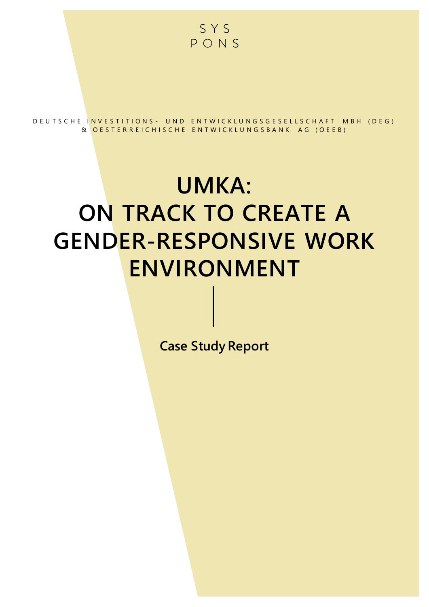

D E U T S C H E IN V E S T I T I O N S - U N D E N T W I C K L U N G S G E S E L L S C H A F T M B H ( D E G ) & OESTERREICHISCHE ENTWICKLUNGSBANK AG (OEEB)

# **UMKA: ON TRACK TO CREATE A GENDER-RESPONSIVE WORK ENVIRONMENT**

**Case Study Report**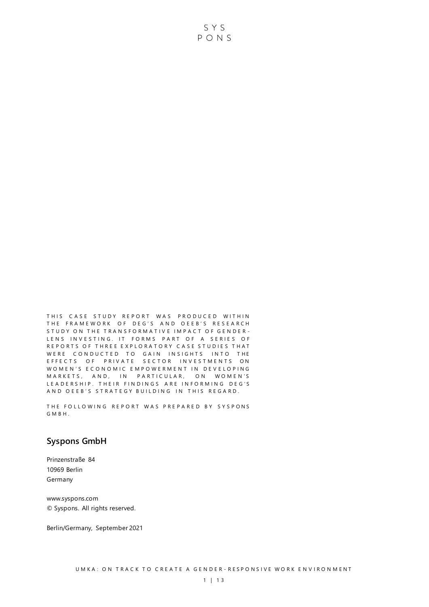THIS CASE STUDY REPORT WAS PRODUCED WITHIN THE FRAMEWORK OF DEG'S AND OEEB'S RESEARCH STUDY ON THE TRANSFORMATIVE IMPACT OF GENDER-LENS INVESTING. IT FORMS PART OF A SERIES OF REPORTS OF THREE EXPLORATORY CASE STUDIES THAT WERE CONDUCTED TO GAIN INSIGHTS INTO THE E F F E C T S O F P RIV A T E SE C T O R IN VE S T MENTS ON WOMEN'S ECONOMIC EMPOWERMENT IN DEVELOPING M A R K E T S, AND, IN PARTICULAR, ON WOMEN'S LEADERSHIP. THEIR FINDINGS ARE INFORMING DEG'S AND OEEB'S STRATEGY BUILDING IN THIS REGARD.

THE FOLLOWING REPORT WAS PREPARED BY SYSPONS G M B H .

#### **Syspons GmbH**

Prinzenstraße 84 10969 Berlin Germany

www.syspons.com © Syspons. All rights reserved.

Berlin/Germany, September 2021

SYS PONS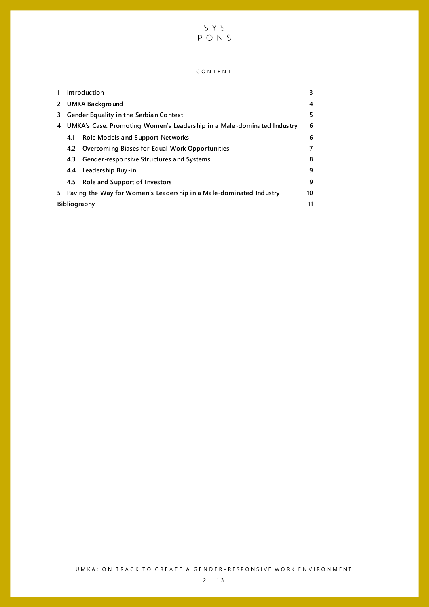

#### C O N T E N T

|              |                                                                        | Introduction                                   | 3  |  |  |
|--------------|------------------------------------------------------------------------|------------------------------------------------|----|--|--|
| $\mathbf{2}$ | UMKA Background                                                        |                                                |    |  |  |
| 3.           | Gender Equality in the Serbian Context                                 |                                                |    |  |  |
| 4            | UMKA's Case: Promoting Women's Leadership in a Male-dominated Industry |                                                |    |  |  |
|              | 4.1                                                                    | Role Models and Support Networks               | 6  |  |  |
|              | 4.2                                                                    | Overcoming Biases for Equal Work Opportunities | 7  |  |  |
|              | 4.3                                                                    | Gender-responsive Structures and Systems       | 8  |  |  |
|              | 4.4                                                                    | Leadership Buy-in                              | 9  |  |  |
|              | 4.5                                                                    | Role and Support of Investors                  | 9  |  |  |
| 5.           | Paving the Way for Women's Leadership in a Male-dominated Industry     |                                                | 10 |  |  |
|              | <b>Bibliography</b>                                                    |                                                |    |  |  |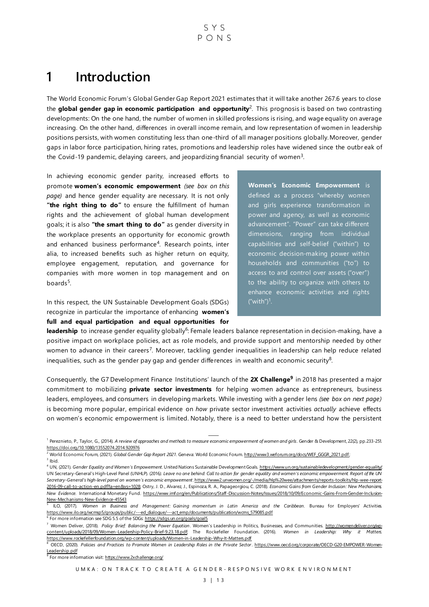# <span id="page-3-0"></span>**1 Introduction**

The World Economic Forum's Global Gender Gap Report 2021 estimates that it will take another 267.6 years to close the **global gender gap in economic participation and opportunity**<sup>2</sup> . This prognosis is based on two contrasting developments: On the one hand, the number of women in skilled professions is rising, and wage equality on average increasing. On the other hand, differences in overall income remain, and low representation of women in leadership positions persists, with women constituting less than one-third of all manager positions globally. Moreover, gender gaps in labor force participation, hiring rates, promotions and leadership roles have widened since the outbr eak of the Covid-19 pandemic, delaying careers, and jeopardizing financial security of women<sup>3</sup>.

In achieving economic gender parity, increased efforts to promote **women's economic empowerment** *(see box on this page)* and hence gender equality are necessary. It is not only "the right thing to do" to ensure the fulfillment of human rights and the achievement of global human development goals; it is also **"the smart thing to do"** as gender diversity in the workplace presents an opportunity for economic growth and enhanced business performance<sup>4</sup>. Research points, inter alia, to increased benefits such as higher return on equity, employee engagement, reputation, and governance for companies with more women in top management and on boards<sup>5</sup>.

In this respect, the UN Sustainable Development Goals (SDGs) recognize in particular the importance of enhancing **women's full and equal participation and equal opportunities for** 

**Women's Economic Empowerment** is defined as a process "whereby women and girls experience transformation in power and agency, as well as economic advancement". "Power" can take different dimensions, ranging from individual capabilities and self-belief ("within") to economic decision-making power within households and communities ("to") to access to and control over assets ("over") to the ability to organize with others to enhance economic activities and rights  $("with")^1$ .

leadership to increase gender equality globally<sup>6</sup>: Female leaders balance representation in decision-making, have a positive impact on workplace policies, act as role models, and provide support and mentorship needed by other women to advance in their careers<sup>7</sup>. Moreover, tackling gender inequalities in leadership can help reduce related inequalities, such as the gender pay gap and gender differences in wealth and economic security<sup>8</sup>.

Consequently, the G7 Development Finance Institutions' launch of the **2X Challenge<sup>9</sup>** in 2018 has presented a major commitment to mobilizing **private sector investments** for helping women advance as entrepreneurs, business leaders, employees, and consumers in developing markets. While investing with a gender lens *(see box on next page)* is becoming more popular, empirical evidence on *how* private sector investment activities *actually* achieve effects on women's economic empowerment is limited. Notably, there is a need to better understand how the persistent

<sup>6</sup> For more information see SDG 5.5 of the SDG[s: https://sdgs.un.org/goals/goal5](https://sdgs.un.org/goals/goal5)

<sup>9</sup> For more information visi[t: https://www.2xchallenge.org/](https://www.2xchallenge.org/)

<sup>&</sup>lt;sup>1</sup> Pereznieto, P., Taylor, G., (2014). *A review of approaches and methods to measure economic empowerment of women and girls*. Gender & Development, 22(2), pp.233-251. <https://doi.org/10.1080/13552074.2014.920976>

<sup>2</sup> World Economic Forum, (2021). *Global Gender Gap Report 2021*. Geneva: World Economic Foru[m. http://www3.weforum.org/docs/WEF\\_GGGR\\_2021.pdf](http://www3.weforum.org/docs/WEF_GGGR_2021.pdf);

 $3$  Ibid.

<sup>4</sup> UN, (2021). *Gender Equality and Women's Empowerment.* United Nations Sustainable Development Goal[s. https://www.un.org/sustainabledevelopment/gender-equality/;](https://www.un.org/sustainabledevelopment/gender-equality/)  UN Secretary-General's High-Level Panel (UNHLP). (2016*). Leave no one behind: Call to action for gender equality and women's economic empowerment. Report of the UN Secretary-General's high-level panel on women's economic empowerment*[. https://www2.unwomen.org/-/media/hlp%20wee/attachments/reports-toolkits/hlp-wee-report-](https://www2.unwomen.org/-/media/hlp%20wee/attachments/reports-toolkits/hlp-wee-report-2016-09-call-to-action-en.pdf?la=en&vs=1028)[2016-09-call-to-action-en.pdf?la=en&vs=1028;](https://www2.unwomen.org/-/media/hlp%20wee/attachments/reports-toolkits/hlp-wee-report-2016-09-call-to-action-en.pdf?la=en&vs=1028) Ostry, J. D., Alvarez, J., Espinoza, R. A., Papageorgiou, C. (2018). *Economic Gains from Gender Inclusion: New Mechanisms, New Evidence.* International Monetary Fund. https://www.imf.org/en/Publications/Staff [-Discussion-Notes/Issues/2018/10/09/Economic-Gains-From-Gender-Inclusion-](https://www.imf.org/en/Publications/Staff-Discussion-Notes/‌Issues/2018/10/09/Economic-Gains-From-Gender-Inclusion-New-Mechanisms-New-Evidence-45543)[New-Mechanisms-New-Evidence-45543](https://www.imf.org/en/Publications/Staff-Discussion-Notes/‌Issues/2018/10/09/Economic-Gains-From-Gender-Inclusion-New-Mechanisms-New-Evidence-45543) 

<sup>5</sup> ILO, (2017). *Women in Business and Management: Gaining momentum in Latin America and the Caribbean.* Bureau for Employers' Activities. [https://www.ilo.org/wcmsp5/groups/public/---ed\\_dialogue/---act\\_emp/documents/publication/wcms\\_579085.pdf](https://www.ilo.org/wcmsp5/groups/public/---ed_dialogue/---act_emp/documents/publication/wcms_579085.pdf)

<sup>7</sup> Women Deliver, (2018). *Policy Brief: Balancing the Power Equation*. Women's Leadership in Politics, Businesses, and Communities. [http://womendeliver.org/wp](http://womendeliver.org/wp-content/uploads/2018/09/Women-Leadership-Policy-Brief-9.23.18.pdf)[content/uploads/2018/09/Women-Leadership-Policy-Brief-9.23.18.pdf;](http://womendeliver.org/wp-content/uploads/2018/09/Women-Leadership-Policy-Brief-9.23.18.pdf) The Rockefeller Foundation. (2016). *Women in Leadership: Why it Matters*. <https://www.rockefellerfoundation.org/wp-content/uploads/Women-in-Leadership-Why-It-Matters.pdf>

<sup>8</sup> OECD, (2020). Policies and Practices to Promote Women in Leadership Roles in the Private Sector[. https://www.oecd.org/corporate/OECD-G20-EMPOWER-Women-](https://www.oecd.org/corporate/OECD-G20-EMPOWER-Women-Leadership.pdf)[Leadership.pdf](https://www.oecd.org/corporate/OECD-G20-EMPOWER-Women-Leadership.pdf)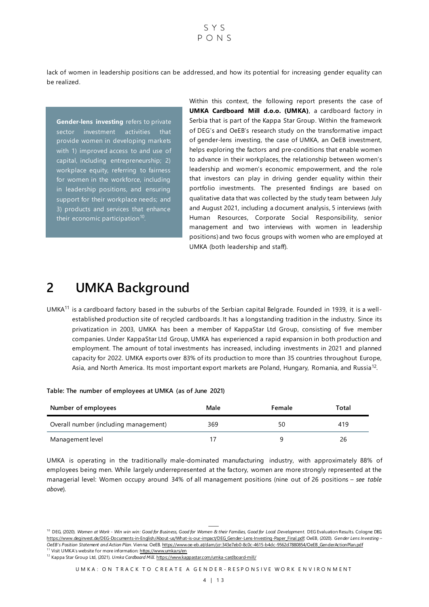$S Y S$  $P_{O}$ NS

lack of women in leadership positions can be addressed, and how its potential for increasing gender equality can be realized.

**Gender-lens investing** refers to private sector investment activities that provide women in developing markets with 1) improved access to and use of capital, including entrepreneurship; 2) workplace equity, referring to fairness for women in the workforce, including in leadership positions, and ensuring support for their workplace needs; and 3) products and services that enhance their economic participation<sup>10</sup>.

Within this context, the following report presents the case of **UMKA Cardboard Mill d.o.o. (UMKA)**, a cardboard factory in Serbia that is part of the Kappa Star Group. Within the framework of DEG's and OeEB's research study on the transformative impact of gender-lens investing, the case of UMKA, an OeEB investment, helps exploring the factors and pre-conditions that enable women to advance in their workplaces, the relationship between women's leadership and women's economic empowerment, and the role that investors can play in driving gender equality within their portfolio investments. The presented findings are based on qualitative data that was collected by the study team between July and August 2021, including a document analysis, 5 interviews (with Human Resources, Corporate Social Responsibility, senior management and two interviews with women in leadership positions) and two focus groups with women who are employed at UMKA (both leadership and staff).

## <span id="page-4-0"></span>**2 UMKA Background**

UMKA<sup>11</sup> is a cardboard factory based in the suburbs of the Serbian capital Belgrade. Founded in 1939, it is a wellestablished production site of recycled cardboards. It has a longstanding tradition in the industry. Since its privatization in 2003, UMKA has been a member of KappaStar Ltd Group, consisting of five member companies. Under KappaStar Ltd Group, UMKA has experienced a rapid expansion in both production and employment. The amount of total investments has increased, including investments in 2021 and planned capacity for 2022. UMKA exports over 83% of its production to more than 35 countries throughout Europe, Asia, and North America. Its most important export markets are Poland, Hungary, Romania, and Russia<sup>12</sup>.

| Number of employees                   | Male | Female | Total |
|---------------------------------------|------|--------|-------|
| Overall number (including management) | 369  | 50     | 419   |
| Management level                      |      |        | 26    |

**Table: The number of employees at UMKA (as of June 2021)**

UMKA is operating in the traditionally male-dominated manufacturing industry, with approximately 88% of employees being men. While largely underrepresented at the factory, women are more strongly represented at the managerial level: Women occupy around 34% of all management positions (nine out of 26 positions – *see table above*).

Visit UMKA's website for more information: <https://www.umka.rs/en>

<sup>12</sup> Kappa Star Group Ltd, (2021). *Umka Cardboard Mill*[. https://www.kappastar.com/umka-cardboard-mill/](https://www.kappastar.com/umka-cardboard-mill/)

UM KA: ON TRACK TO CREATE A GENDER-RESPONSIVE WORK ENVIRONMENT

<sup>&</sup>lt;sup>10</sup> DEG, (2020). Women at Work - Win win win: Good for Business, Good for Women & their Families, Good for Local Development. DEG Evaluation Results. Cologne: DEG https://www.deginvest.de/DEG-Documents-in-English/About-us/What-is-our-impact/DEG\_Gender-Lens-Investing-Paper\_Final.pdf; OeEB, (2020). *Gender Lens Investing – OeEB's Position Statement and Action Plan.* Vienna: OeEB. https://www.oe-eb.at/dam/jcr:343e7eb0-8c0c-4615-b4dc-9562d7880854/OeEB\_GenderActionPlan.pdf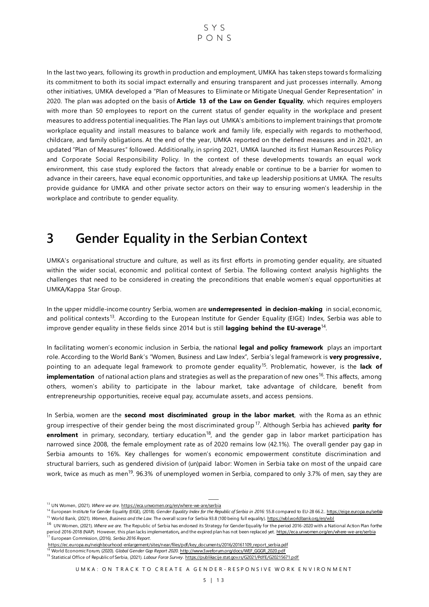

In the last two years, following its growth in production and employment, UMKA has taken steps towards formalizing its commitment to both its social impact externally and ensuring transparent and just processes internally. Among other initiatives, UMKA developed a "Plan of Measures to Eliminate or Mitigate Unequal Gender Representation" in 2020. The plan was adopted on the basis of **Article 13 of the Law on Gender Equality**, which requires employers with more than 50 employees to report on the current status of gender equality in the workplace and present measures to address potential inequalities. The Plan lays out UMKA's ambitions to implement trainings that promote workplace equality and install measures to balance work and family life, especially with regards to motherhood, childcare, and family obligations. At the end of the year, UMKA reported on the defined measures and in 2021, an updated "Plan of Measures" followed. Additionally, in spring 2021, UMKA launched its first Human Resources Policy and Corporate Social Responsibility Policy. In the context of these developments towards an equal work environment, this case study explored the factors that already enable or continue to be a barrier for women to advance in their careers, have equal economic opportunities, and take up leadership positions at UMKA. The results provide guidance for UMKA and other private sector actors on their way to ensuring women's leadership in the workplace and contribute to gender equality.

# <span id="page-5-0"></span>**3 Gender Equality in the Serbian Context**

UMKA's organisational structure and culture, as well as its first efforts in promoting gender equality, are situated within the wider social, economic and political context of Serbia. The following context analysis highlights the challenges that need to be considered in creating the preconditions that enable women's equal opportunities at UMKA/Kappa Star Group.

In the upper middle-income country Serbia, women are **underrepresented in decision-making** in social, economic, and political contexts<sup>13</sup>. According to the European Institute for Gender Equality (EIGE) Index, Serbia was able to improve gender equality in these fields since 2014 but is still **lagging behind the EU-average**<sup>14</sup> .

In facilitating women's economic inclusion in Serbia, the national **legal and policy framework** plays an important role. According to the World Bank's "Women, Business and Law Index", Serbia's legal framework is **very progressive,**  pointing to an adequate legal framework to promote gender equality<sup>15</sup>. Problematic, however, is the lack of **implementation** of national action plans and strategies as well as the preparation of new ones<sup>16</sup>. This affects, among others, women's ability to participate in the labour market, take advantage of childcare, benefit from entrepreneurship opportunities, receive equal pay, accumulate assets , and access pensions.

In Serbia, women are the **second most discriminated group in the labor market**, with the Roma as an ethnic group irrespective of their gender being the most discriminated group <sup>17</sup> . Although Serbia has achieved **parity for**  enrolment in primary, secondary, tertiary education<sup>18</sup>, and the gender gap in labor market participation has narrowed since 2008, the female employment rate as of 2020 remains low (42.1%). The overall gender pay gap in Serbia amounts to 16%. Key challenges for women's economic empowerment constitute discrimination and structural barriers, such as gendered division of (un)paid labor: Women in Serbia take on most of the unpaid care work, twice as much as men<sup>19</sup>. 96.3% of unemployed women in Serbia, compared to only 3.7% of men, say they are

<sup>&</sup>lt;sup>13</sup> UN Women, (2021). Where we are[. https://eca.unwomen.org/en/where-we-are/serbia](https://eca.unwomen.org/en/where-we-are/serbia)

<sup>&</sup>lt;sup>14</sup> European Institute for Gender Equality (EIGE), (2018). *Gender Equality Index for the Republic of Serbia in 2016:* 55.8 compared to EU-28 66.[2.. https://eige.europa.eu/serbia](https://eige.europa.eu/serbia) <sup>15</sup> World Bank, (2021). *Women, Business and the Law*. The overall score for Serbia 93.8 (100 being full equality[\). https://wbl.worldbank.org/en/wbl](https://wbl.worldbank.org/en/wbl)

<sup>&</sup>lt;sup>16</sup> UN Women, (2021). Where we are. The Republic of Serbia has endorsed its Strategy for Gender Equality for the period 2016-2020 with a National Action Plan forthe period 2016-2018 (NAP). However, this plan lacks implementation, and the expired plan has not been replaced yet. <u>https://eca.unwomen.orq/en/where-we-are/serbia</u><br><sup>17</sup> European Commission, (2016). *Serbia 2016 Report*.

https://ec.europa.eu/neighbourhood-enlargement/sites/near/files/pdf/key documents/2016/20161109 report serbia.pdf<br><sup>18</sup> World Economic Forum, (2020). Global Gender Gap Report 2020. http://www3.weforum.org/docs/WEF\_GGGR\_2020

<sup>&</sup>lt;sup>19</sup> Statistical Office of Republic of Serbia, (2021). *Labour Force Survey*[. https://publikacije.stat.gov.rs/G2021/PdfE/G20215671.pdf](https://publikacije.stat.gov.rs/G2021/PdfE/G20215671.pdf)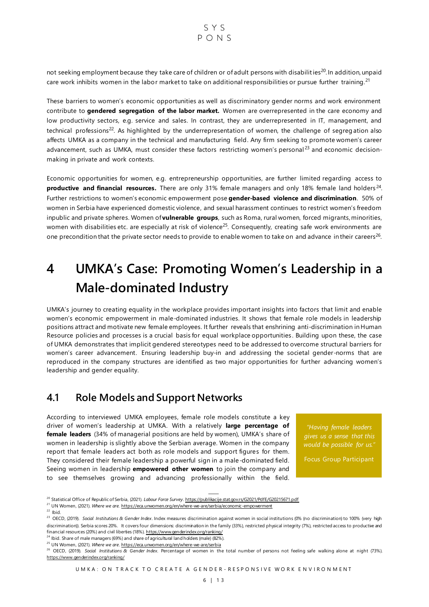

not seeking employment because they take care of children or of adult persons with disabilities<sup>20</sup>. In addition, unpaid care work inhibits women in the labor market to take on additional responsibilities or pursue further training.<sup>21</sup>

These barriers to women's economic opportunities as well as discriminatory gender norms and work environment contribute to **gendered segregation of the labor market.** Women are overrepresented in the care economy and low productivity sectors, e.g. service and sales. In contrast, they are underrepresented in IT, management, and technical professions<sup>22</sup>. As highlighted by the underrepresentation of women, the challenge of segregation also affects UMKA as a company in the technical and manufacturing field. Any firm seeking to promote women's career advancement, such as UMKA, must consider these factors restricting women's personal<sup>23</sup> and economic decisionmaking in private and work contexts.

Economic opportunities for women, e.g. entrepreneurship opportunities, are further limited regarding access to productive and financial resources. There are only 31% female managers and only 18% female land holders<sup>24</sup>. Further restrictions to women's economic empowerment pose **gender-based violence and discrimination**. 50% of women in Serbia have experienced domestic violence, and sexual harassment continues to restrict women's freedom inpublic and private spheres. Women of **vulnerable groups**, such as Roma, rural women, forced migrants, minorities, women with disabilities etc. are especially at risk of violence<sup>25</sup>. Consequently, creating safe work environments are one precondition that the private sector needs to provide to enable women to take on and advance in their careers<sup>26</sup>.

# <span id="page-6-0"></span>**4 UMKA's Case: Promoting Women's Leadership in a Male-dominated Industry**

UMKA's journey to creating equality in the workplace provides important insights into factors that limit and enable women's economic empowerment in male-dominated industries. It shows that female role models in leadership positions attract and motivate new female employees. It further reveals that enshrining anti-discrimination in Human Resource policies and processes is a crucial basis for equal workplace opportunities . Building upon these, the case of UMKA demonstrates that implicit gendered stereotypes need to be addressed to overcome structural barriers for women's career advancement. Ensuring leadership buy-in and addressing the societal gender-norms that are reproduced in the company structures are identified as two major opportunities for further advancing women's leadership and gender equality.

#### <span id="page-6-1"></span>**4.1 Role Models and Support Networks**

According to interviewed UMKA employees, female role models constitute a key driver of women's leadership at UMKA. With a relatively **large percentage of female leaders** (34% of managerial positions are held by women), UMKA's share of women in leadership is slightly above the Serbian average. Women in the company report that female leaders act both as role models and support figures for them. They considered their female leadership a powerful sign in a male-dominated field. Seeing women in leadership **empowered other women** to join the company and to see themselves growing and advancing professionally within the field.

*"Having female leaders gives us a sense that this would be possible for us."*

Focus Group Participant

<sup>25</sup> UN Women, (2021). *Where we are*[. https://eca.unwomen.org/en/where-we-are/serbia](https://eca.unwomen.org/en/where-we-are/serbia)

UM KA: ON TRACK TO CREATE A GENDER-RESPONSIVE WORK ENVIRONMENT

<sup>&</sup>lt;sup>20</sup> Statistical Office of Republic of Serbia, (2021). *Labour Force Survey*[. https://publikacije.stat.gov.rs/G2021/PdfE/G20215671.pdf](https://publikacije.stat.gov.rs/G2021/PdfE/G20215671.pdf)

<sup>21</sup> UN Women, (2021). *Where we are.* <https://eca.unwomen.org/en/where-we-are/serbia/economic-empowerment>

 $22$  Ibid.

<sup>23</sup> OECD, (2019). *Social Institutions & Gender Index*. Index measures discrimination against women in social institutions (0% (no discrimination) to 100% (very high discrimination)). Serbia scores 20%. It covers four dimensions: discrimination in the family (33%), restricted physical integrity (7%), restricted access to productive and financial resources (20%) and civil liberties (18%[\). https://www.genderindex.org/ranking/](https://www.genderindex.org/ranking/)  $24$  Ibid. Share of male managers (69%) and share of agricultural land holders (male) (82%).

<sup>&</sup>lt;sup>26</sup> OECD, (2019). Social Institutions & Gender Index. Percentage of women in the total number of persons not feeling safe walking alone at night (73%). <https://www.genderindex.org/ranking/>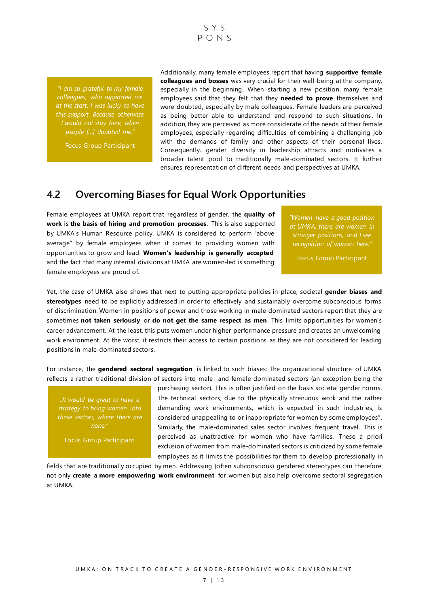$S Y S$  $P \cap N S$ 

*"I am so grateful to my female colleagues, who supported me at the start. I was lucky to have this support. Because otherwise I would not stay here, when people […] doubted me."*

Focus Group Participant

Additionally, many female employees report that having **supportive female colleagues and bosses** was very crucial for their well-being at the company, especially in the beginning. When starting a new position, many female employees said that they felt that they **needed to prove** themselves and were doubted, especially by male colleagues. Female leaders are perceived as being better able to understand and respond to such situations. In addition, they are perceived as more considerate of the needs of their female employees, especially regarding difficulties of combining a challenging job with the demands of family and other aspects of their personal lives. Consequently, gender diversity in leadership attracts and motivates a broader talent pool to traditionally male-dominated sectors. It further ensures representation of different needs and perspectives at UMKA.

## <span id="page-7-0"></span>**4.2 Overcoming Biases for Equal Work Opportunities**

Female employees at UMKA report that regardless of gender, the **quality of work** is **the basis of hiring and promotion processes**. This is also supported by UMKA's Human Resource policy. UMKA is considered to perform "above average" by female employees when it comes to providing women with opportunities to grow and lead. **Women's leadership is generally accepted** and the fact that many internal divisions at UMKA are women-led is something female employees are proud of.

*"Women have a good position at UMKA, there are women in stronger positions, and I see recognition of women here."*

Focus Group Participant

Yet, the case of UMKA also shows that next to putting appropriate policies in place, societal **gender biases and stereotypes** need to be explicitly addressed in order to effectively and sustainably overcome subconscious forms of discrimination. Women in positions of power and those working in male-dominated sectors report that they are sometimes **not taken seriously** or **do not get the same respect as men**. This limits opportunities for women's career advancement. At the least, this puts women under higher performance pressure and creates an unwelcoming work environment. At the worst, it restricts their access to certain positions, as they are not considered for leading positions in male-dominated sectors.

For instance, the **gendered sectoral segregation** is linked to such biases: The organizational structure of UMKA reflects a rather traditional division of sectors into male- and female-dominated sectors (an exception being the

*"It would be great to have a strategy to bring women into those sectors, where there are none."*

Focus Group Participant

purchasing sector). This is often justified on the basis societal gender norms. The technical sectors, due to the physically strenuous work and the rather demanding work environments, which is expected in such industries, is considered unappealing to or inappropriate for women by some employees". Similarly, the male-dominated sales sector involves frequent travel. This is perceived as unattractive for women who have families. These a priori exclusion of women from male-dominated sectors is criticized by some female employees as it limits the possibilities for them to develop professionally in

fields that are traditionally occupied by men. Addressing (often subconscious) gendered stereotypes can therefore not only **create a more empowering work environment** for women but also help overcome sectoral segregation at UMKA.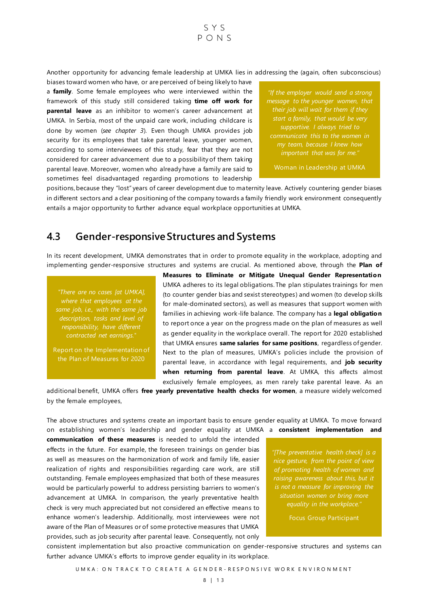Another opportunity for advancing female leadership at UMKA lies in addressing the (again, often subconscious)

 $S Y S$  $P_{O}$ NS

biases toward women who have, or are perceived of being likely to have a **family**. Some female employees who were interviewed within the framework of this study still considered taking **time off work for parental leave** as an inhibitor to women's career advancement at UMKA. In Serbia, most of the unpaid care work, including childcare is done by women (*see chapter 3*). Even though UMKA provides job security for its employees that take parental leave, younger women, according to some interviewees of this study, fear that they are not considered for career advancement due to a possibility of them taking parental leave. Moreover, women who already have a family are said to sometimes feel disadvantaged regarding promotions to leadership

*"If the employer would send a strong message to the younger women, that start a family, that would be very supportive. I always tried to communicate this to the women in my team, because I knew how important that was for me.* 

Woman in Leadership at UMKA

positions, because they "lost" years of career development due to maternity leave. Actively countering gender biases in different sectors and a clear positioning of the company towards a family friendly work environment consequently entails a major opportunity to further advance equal workplace opportunities at UMKA.

## <span id="page-8-0"></span>**4.3 Gender-responsive Structures and Systems**

In its recent development, UMKA demonstrates that in order to promote equality in the workplace, adopting and implementing gender-responsive structures and systems are crucial. As mentioned above, through the **Plan of** 

*"There are no cases [at UMKA], where that employees at the description, tasks and level of responsibility, have different contracted net earnings."*

Report on the Implementation of the Plan of Measures for 2020

**Measures to Eliminate or Mitigate Unequal Gender Representation** UMKA adheres to its legal obligations. The plan stipulates trainings for men (to counter gender bias and sexist stereotypes) and women (to develop skills for male-dominated sectors), as well as measures that support women with families in achieving work-life balance. The company has a **legal obligation** to report once a year on the progress made on the plan of measures as well as gender equality in the workplace overall. The report for 2020 established that UMKA ensures **same salaries for same positions**, regardless of gender. Next to the plan of measures, UMKA's policies include the provision of parental leave, in accordance with legal requirements, and **job security when returning from parental leave**. At UMKA, this affects almost exclusively female employees, as men rarely take parental leave. As an

additional benefit, UMKA offers **free yearly preventative health checks for women**, a measure widely welcomed by the female employees,

The above structures and systems create an important basis to ensure gender equality at UMKA. To move forward on establishing women's leadership and gender equality at UMKA a **consistent implementation and** 

**communication of these measures** is needed to unfold the intended effects in the future. For example, the foreseen trainings on gender bias as well as measures on the harmonization of work and family life, easier realization of rights and responsibilities regarding care work, are still outstanding. Female employees emphasized that both of these measures would be particularly powerful to address persisting barriers to women's advancement at UMKA. In comparison, the yearly preventative health check is very much appreciated but not considered an effective means to enhance women's leadership. Additionally, most interviewees were not aware of the Plan of Measures or of some protective measures that UMKA provides, such as job security after parental leave. Consequently, not only

*"[The preventative health check] is a nice gesture, from the point of view of promoting health of women and is not a measure for improving the situation women or bring more equality in the workplace."*

Focus Group Participant

consistent implementation but also proactive communication on gender-responsive structures and systems can further advance UMKA's efforts to improve gender equality in its workplace.

UM KA: ON TRACK TO CREATE A GENDER-RESPONSIVE WORK ENVIRONMENT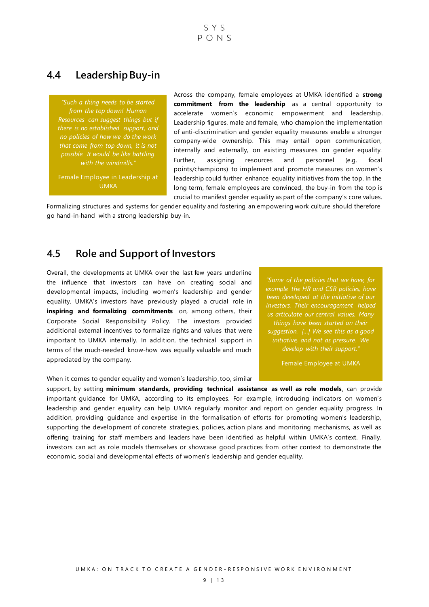$S Y S$  $P \cap N S$ 

### <span id="page-9-0"></span>**4.4 Leadership Buy-in**

*from the top down! Human Resources can suggest things but if there is no established support, and no policies of how we do the work possible. It would be like battling with the windmills."*

Female Employee in Leadership at UMKA

Across the company, female employees at UMKA identified a **strong commitment from the leadership** as a central opportunity to accelerate women's economic empowerment and leadership. Leadership figures, male and female, who champion the implementation of anti-discrimination and gender equality measures enable a stronger company-wide ownership. This may entail open communication, internally and externally, on existing measures on gender equality. Further, assigning resources and personnel (e.g. focal points/champions) to implement and promote measures on women's leadership could further enhance equality initiatives from the top. In the long term, female employees are convinced, the buy-in from the top is crucial to manifest gender equality as part of the company's core values.

Formalizing structures and systems for gender equality and fostering an empowering work culture should therefore go hand-in-hand with a strong leadership buy-in.

## <span id="page-9-1"></span>**4.5 Role and Support of Investors**

Overall, the developments at UMKA over the last few years underline the influence that investors can have on creating social and developmental impacts, including women's leadership and gender equality. UMKA's investors have previously played a crucial role in **inspiring and formalizing commitments** on, among others, their Corporate Social Responsibility Policy. The investors provided additional external incentives to formalize rights and values that were important to UMKA internally. In addition, the technical support in terms of the much-needed know-how was equally valuable and much appreciated by the company.

When it comes to gender equality and women's leadership, too, similar

*"Some of the policies that we have, for example the HR and CSR policies, have been developed at the initiative of our investors. Their encouragement helped us articulate our central values. Many suggestion. […] We see this as a good develop with their support."*

Female Employee at UMKA

support, by setting **minimum standards, providing technical assistance as well as role models** , can provide important guidance for UMKA, according to its employees. For example, introducing indicators on women's leadership and gender equality can help UMKA regularly monitor and report on gender equality progress. In addition, providing guidance and expertise in the formalisation of efforts for promoting women's leadership, supporting the development of concrete strategies, policies, action plans and monitoring mechanisms, as well as offering training for staff members and leaders have been identified as helpful within UMKA's context. Finally, investors can act as role models themselves or showcase good practices from other context to demonstrate the economic, social and developmental effects of women's leadership and gender equality.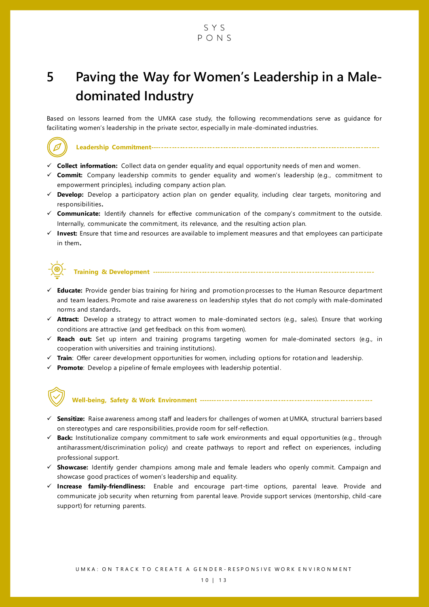#### SYS  $P \cap N S$

# <span id="page-10-0"></span>**5 Paving the Way for Women's Leadership in a Maledominated Industry**

Based on lessons learned from the UMKA case study, the following recommendations serve as guidance for facilitating women's leadership in the private sector, especially in male-dominated industries.

#### **Leadership Commitment-------------------------------------------------------------------------------------**

- ✓ **Collect information:** Collect data on gender equality and equal opportunity needs of men and women.
- ✓ **Commit:** Company leadership commits to gender equality and women's leadership (e.g., commitment to empowerment principles), including company action plan.
- ✓ **Develop:** Develop a participatory action plan on gender equality, including clear targets, monitoring and responsibilities**.**
- ✓ **Communicate:** Identify channels for effective communication of the company's commitment to the outside. Internally, communicate the commitment, its relevance, and the resulting action plan.
- ✓ **Invest:** Ensure that time and resources are available to implement measures and that employees can participate in them**.**



**Training & Development -----------------------------------------------------------------------------------**

- ✓ **Educate:** Provide gender bias training for hiring and promotion processes to the Human Resource department and team leaders. Promote and raise awareness on leadership styles that do not comply with male-dominated norms and standards**.**
- ✓ **Attract:** Develop a strategy to attract women to male-dominated sectors (e.g., sales). Ensure that working conditions are attractive (and get feedback on this from women).
- ✓ **Reach out:** Set up intern and training programs targeting women for male-dominated sectors (e.g., in cooperation with universities and training institutions).
- ✓ **Train**: Offer career development opportunities for women, including options for rotation and leadership.
- ✓ **Promote**: Develop a pipeline of female employees with leadership potential .



#### **Well-being, Safety & Work Environment -----------------------------------------------------------------**

- ✓ **Sensitize:** Raise awareness among staff and leaders for challenges of women at UMKA, structural barriers based on stereotypes and care responsibilities, provide room for self-reflection.
- ✓ **Back:** Institutionalize company commitment to safe work environments and equal opportunities (e.g., through antiharassment/discrimination policy) and create pathways to report and reflect on experiences, including professional support.
- ✓ **Showcase:** Identify gender champions among male and female leaders who openly commit. Campaign and showcase good practices of women's leadership and equality.
- ✓ **Increase family-friendliness:** Enable and encourage part-time options, parental leave. Provide and communicate job security when returning from parental leave. Provide support services (mentorship, child -care support) for returning parents.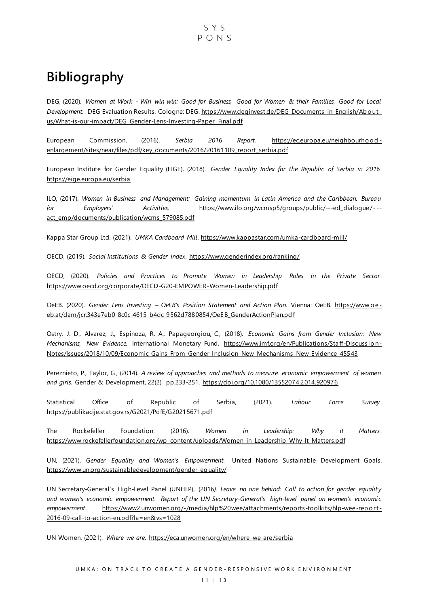# <span id="page-11-0"></span>**Bibliography**

DEG, (2020). *Women at Work - Win win win: Good for Business, Good for Women & their Families, Good for Local Development.* DEG Evaluation Results. Cologne: DEG[. https://www.deginvest.de/DEG-Documents](https://www.deginvest.de/DEG-Documents-in-English/About-us/What-is-our-impact/DEG_Gender-Lens-Investing-Paper_Final.pdf) -in-English/Ab o ut [us/What-is-our-impact/DEG\\_Gender-Lens-Investing-Paper\\_Final.pdf](https://www.deginvest.de/DEG-Documents-in-English/About-us/What-is-our-impact/DEG_Gender-Lens-Investing-Paper_Final.pdf)

European Commission, (2016). *Serbia 2016 Report*. [https://ec.europa.eu/neighbourho o d](https://ec.europa.eu/neighbourhood-enlargement/sites/near/files/pdf/key_documents/2016/20161109_report_serbia.pdf) [enlargement/sites/near/files/pdf/key\\_documents/2016/20161109\\_report\\_serbia.pdf](https://ec.europa.eu/neighbourhood-enlargement/sites/near/files/pdf/key_documents/2016/20161109_report_serbia.pdf)

European Institute for Gender Equality (EIGE), (2018). *Gender Equality Index for the Republic of Serbia in 2016*. <https://eige.europa.eu/serbia>

ILO, (2017). *Women in Business and Management: Gaining momentum in Latin America and the Caribbean. Bureau for Employers' Activities*. [https://www.ilo.org/wcmsp5/groups/public/---ed\\_dialogue/- -](https://www.ilo.org/wcmsp5/groups/public/---ed_dialogue/---act_emp/documents/publication/wcms_579085.pdf) act\_emp/documents/publication/wcms\_579085.pdf

Kappa Star Group Ltd, (2021). *UMKA Cardboard Mill*.<https://www.kappastar.com/umka-cardboard-mill/>

OECD, (2019). *Social Institutions & Gender Index*.<https://www.genderindex.org/ranking/>

OECD, (2020). *Policies and Practices to Promote Women in Leadership Roles in the Private Sector*. <https://www.oecd.org/corporate/OECD-G20-EMPOWER-Women-Leadership.pdf>

OeEB, (2020). *Gender Lens Investing – OeEB's Position Statement and Action Plan.* Vienna: OeEB. https://www.o eeb.at/dam/jcr:343e7eb0-8c0c-4615-b4dc-9562d7880854/OeEB\_GenderActionPlan.pd f

Ostry, J. D., Alvarez, J., Espinoza, R. A., Papageorgiou, C., (2018). *Economic Gains from Gender Inclusion: New Mechanisms, New Evidence.* International Monetary Fund. [https://www.imf.org/en/Publications/Staff-Discussio n-](https://www.imf.org/en/Publications/Staff-Discussion-Notes/‌Issues/2018/10/09/Economic-Gains-From-Gender-Inclusion-New-Mechanisms-New-Evidence-45543)Notes/Issues/2018/10/09/Economic-Gains [-From-Gender-Inclusion-New-Mechanisms-New-Evidence-45543](https://www.imf.org/en/Publications/Staff-Discussion-Notes/‌Issues/2018/10/09/Economic-Gains-From-Gender-Inclusion-New-Mechanisms-New-Evidence-45543) 

Pereznieto, P., Taylor, G., (2014). *A review of approaches and methods to measure economic empowerment of women and girls*. Gender & Development, 22(2), pp.233-251.<https://doi.org/10.1080/13552074.2014.920976>

Statistical Office of Republic of Serbia, (2021). *Labour Force Survey*. <https://publikacije.stat.gov.rs/G2021/PdfE/G20215671.pdf>

The Rockefeller Foundation. (2016). *Women in Leadership: Why it Matters*. <https://www.rockefellerfoundation.org/wp-content/uploads/Women-in-Leadership-Why-It-Matters.pdf>

UN, (2021). *Gender Equality and Women's Empowerment.* United Nations Sustainable Development Goals. [https://www.un.org/sustainabledevelopment/gender-eq uality/](https://www.un.org/sustainabledevelopment/gender-equality/)

UN Secretary-General's High-Level Panel (UNHLP), (2016*). Leave no one behind: Call to action for gender equality and women's economic empowerment. Report of the UN Secretary-General's high-level panel on women's economic empowerment*. [https://www2.unwomen.org/-/media/hlp%20wee/attachments/reports-toolkits/hlp-wee-rep o rt](https://www2.unwomen.org/-/media/hlp%20wee/attachments/reports-toolkits/hlp-wee-report-2016-09-call-to-action-en.pdf?la=en&vs=1028) - [2016-09-call-to-action-en.pdf?la=en&vs=1028](https://www2.unwomen.org/-/media/hlp%20wee/attachments/reports-toolkits/hlp-wee-report-2016-09-call-to-action-en.pdf?la=en&vs=1028)

UN Women, (2021). *Where we are*.<https://eca.unwomen.org/en/where-we-are/serbia>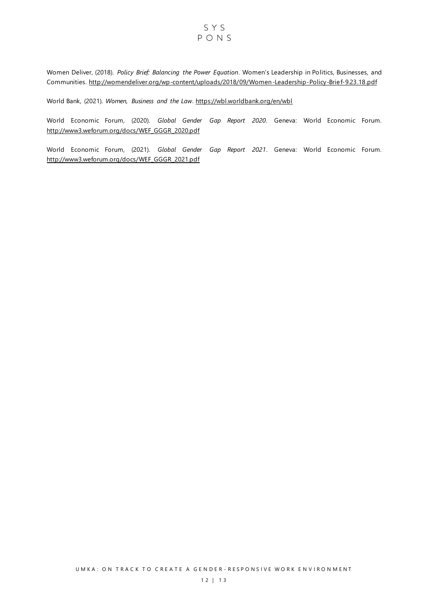#### SYS PONS

Women Deliver, (2018). *Policy Brief: Balancing the Power Equation*. Women's Leadership in Politics, Businesses, and Communities.<http://womendeliver.org/wp-content/uploads/2018/09/Women-Leadership-Policy-Brief-9.23.18.pdf>

World Bank, (2021). *Women, Business and the Law*.<https://wbl.worldbank.org/en/wbl>

World Economic Forum, (2020). *Global Gender Gap Report 2020*. Geneva: World Economic Forum. [http://www3.weforum.org/docs/WEF\\_GGGR\\_2020.pdf](http://www3.weforum.org/docs/WEF_GGGR_2020.pdf)

World Economic Forum, (2021). *Global Gender Gap Report 2021*. Geneva: World Economic Forum. [http://www3.weforum.org/docs/WEF\\_GGGR\\_2021.pdf](http://www3.weforum.org/docs/WEF_GGGR_2021.pdf)